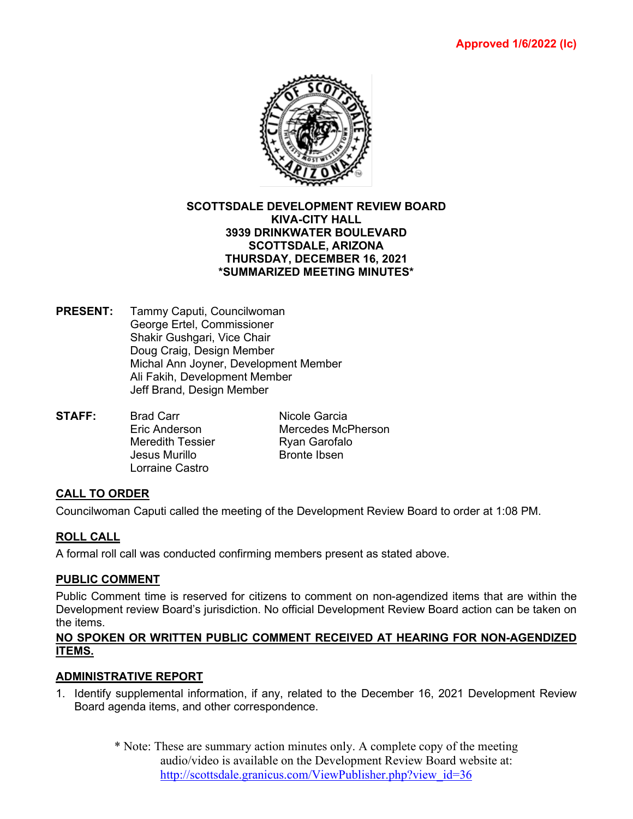

#### **SCOTTSDALE DEVELOPMENT REVIEW BOARD KIVA-CITY HALL 3939 DRINKWATER BOULEVARD SCOTTSDALE, ARIZONA THURSDAY, DECEMBER 16, 2021 \*SUMMARIZED MEETING MINUTES\***

- **PRESENT:** Tammy Caputi, Councilwoman George Ertel, Commissioner Shakir Gushgari, Vice Chair Doug Craig, Design Member Michal Ann Joyner, Development Member Ali Fakih, Development Member Jeff Brand, Design Member
- **STAFF:** Brad Carr Nicole Garcia Eric Anderson Mercedes McPherson Meredith Tessier Ryan Garofalo<br>Jesus Murillo Bronte Ibsen Jesus Murillo Lorraine Castro

# **CALL TO ORDER**

Councilwoman Caputi called the meeting of the Development Review Board to order at 1:08 PM.

# **ROLL CALL**

A formal roll call was conducted confirming members present as stated above.

### **PUBLIC COMMENT**

Public Comment time is reserved for citizens to comment on non-agendized items that are within the Development review Board's jurisdiction. No official Development Review Board action can be taken on the items.

### **NO SPOKEN OR WRITTEN PUBLIC COMMENT RECEIVED AT HEARING FOR NON-AGENDIZED ITEMS.**

### **ADMINISTRATIVE REPORT**

- 1. Identify supplemental information, if any, related to the December 16, 2021 Development Review Board agenda items, and other correspondence.
	- \* Note: These are summary action minutes only. A complete copy of the meeting audio/video is available on the Development Review Board website at: [http://scottsdale.granicus.com/ViewPublisher.php?view\\_id=36](http://scottsdale.granicus.com/ViewPublisher.php?view_id=36)